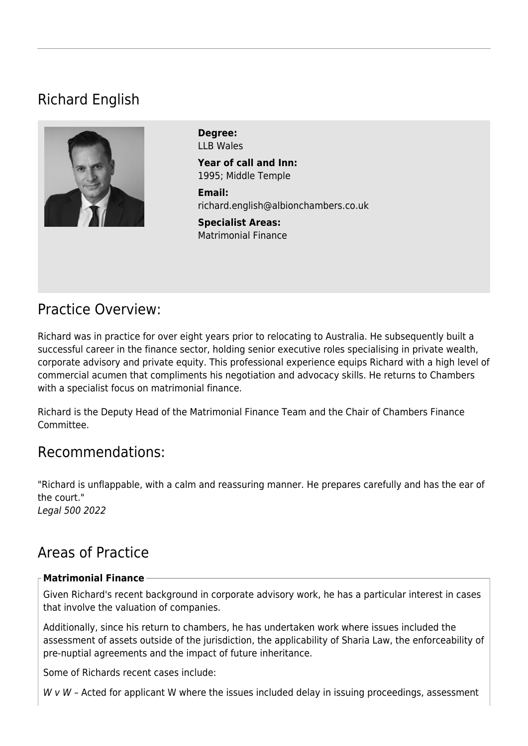# Richard English



**Degree:**  LLB Wales

**Year of call and Inn:**  1995; Middle Temple

**Email:**  [richard.english@albionchambers.co.uk](mailto:richard.english@albionchambers.co.uk)

**Specialist Areas:**  [Matrimonial Finance](https://www.albionchambers.co.uk/specialist-areas/matrimonial-finance)

## Practice Overview:

Richard was in practice for over eight years prior to relocating to Australia. He subsequently built a successful career in the finance sector, holding senior executive roles specialising in private wealth, corporate advisory and private equity. This professional experience equips Richard with a high level of commercial acumen that compliments his negotiation and advocacy skills. He returns to Chambers with a specialist focus on matrimonial finance.

Richard is the Deputy Head of the Matrimonial Finance Team and the Chair of Chambers Finance Committee.

## Recommendations:

"Richard is unflappable, with a calm and reassuring manner. He prepares carefully and has the ear of the court." Legal 500 2022

## Areas of Practice

#### **Matrimonial Finance**

Given Richard's recent background in corporate advisory work, he has a particular interest in cases that involve the valuation of companies.

Additionally, since his return to chambers, he has undertaken work where issues included the assessment of assets outside of the jurisdiction, the applicability of Sharia Law, the enforceability of pre-nuptial agreements and the impact of future inheritance.

Some of Richards recent cases include:

 $W \vee W$  – Acted for applicant W where the issues included delay in issuing proceedings, assessment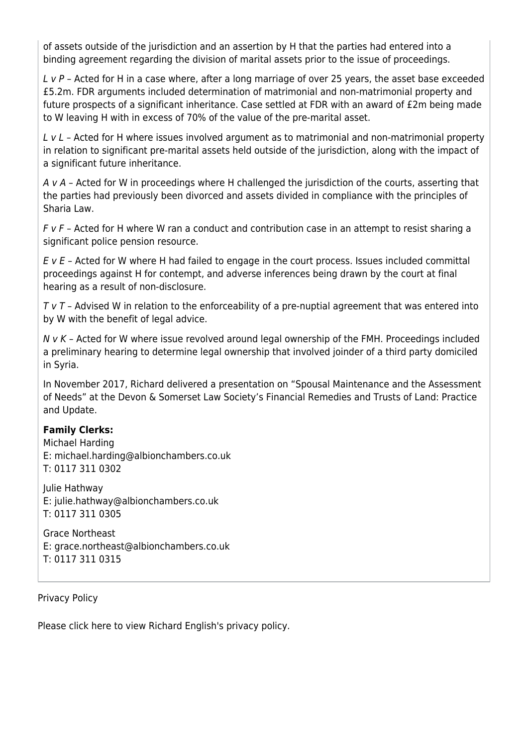of assets outside of the jurisdiction and an assertion by H that the parties had entered into a binding agreement regarding the division of marital assets prior to the issue of proceedings.

L v P – Acted for H in a case where, after a long marriage of over 25 years, the asset base exceeded £5.2m. FDR arguments included determination of matrimonial and non-matrimonial property and future prospects of a significant inheritance. Case settled at FDR with an award of £2m being made to W leaving H with in excess of 70% of the value of the pre-marital asset.

L v L - Acted for H where issues involved argument as to matrimonial and non-matrimonial property in relation to significant pre-marital assets held outside of the jurisdiction, along with the impact of a significant future inheritance.

A v A - Acted for W in proceedings where H challenged the jurisdiction of the courts, asserting that the parties had previously been divorced and assets divided in compliance with the principles of Sharia Law.

 $F$  v  $F$  – Acted for H where W ran a conduct and contribution case in an attempt to resist sharing a significant police pension resource.

 $E$  v  $E$  – Acted for W where H had failed to engage in the court process. Issues included committal proceedings against H for contempt, and adverse inferences being drawn by the court at final hearing as a result of non-disclosure.

 $T V T$  – Advised W in relation to the enforceability of a pre-nuptial agreement that was entered into by W with the benefit of legal advice.

 $N$  v  $K$  – Acted for W where issue revolved around legal ownership of the FMH. Proceedings included a preliminary hearing to determine legal ownership that involved joinder of a third party domiciled in Syria.

In November 2017, Richard delivered a presentation on "Spousal Maintenance and the Assessment of Needs" at the Devon & Somerset Law Society's Financial Remedies and Trusts of Land: Practice and Update.

#### **Family Clerks:**

Michael Harding E: [michael.harding@albionchambers.co.uk](mailto:michael.harding@albionchambers.co.uk) T: 0117 311 0302

Julie Hathway E: [julie.hathway@albionchambers.co.uk](mailto:julie.hathway@albionchambers.co.uk) T: 0117 311 0305

Grace Northeast E: [grace.northeast@albionchambers.co.uk](mailto:grace.northeast@albionchambers.co.uk) T: 0117 311 0315

Privacy Policy

[Please click here to view Richard English's privacy policy.](https://www.albionchambers.co.uk/sites/default/files/Privacy%20Policy%202021%20Richard%20English.pdf)